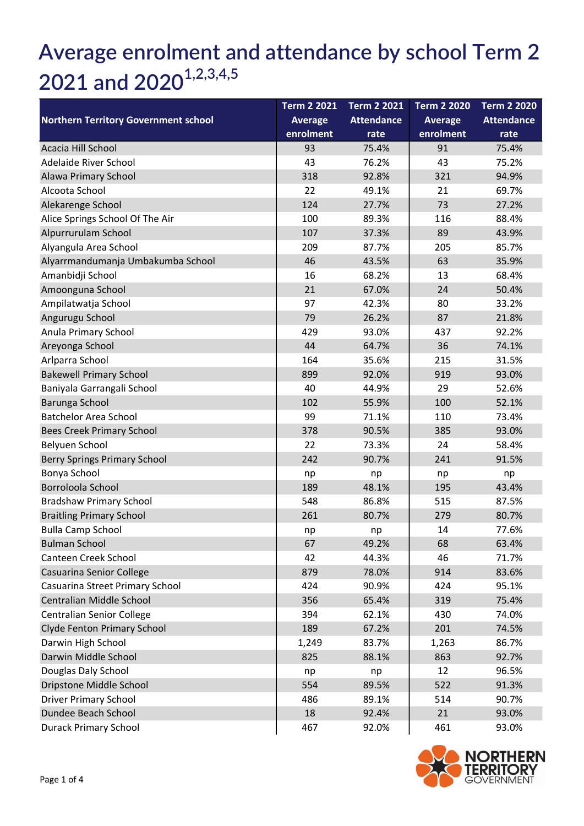## Average enrolment and attendance by school Term 2 2021 and  $2020^{1,2,3,4,5}$

| <b>Northern Territory Government school</b> | <b>Term 2 2021</b> | <b>Term 2 2021</b> | <b>Term 2 2020</b> | <b>Term 2 2020</b> |
|---------------------------------------------|--------------------|--------------------|--------------------|--------------------|
|                                             | <b>Average</b>     | <b>Attendance</b>  | <b>Average</b>     | <b>Attendance</b>  |
|                                             | enrolment          | rate               | enrolment          | rate               |
| Acacia Hill School                          | 93                 | 75.4%              | 91                 | 75.4%              |
| Adelaide River School                       | 43                 | 76.2%              | 43                 | 75.2%              |
| Alawa Primary School                        | 318                | 92.8%              | 321                | 94.9%              |
| Alcoota School                              | 22                 | 49.1%              | 21                 | 69.7%              |
| Alekarenge School                           | 124                | 27.7%              | 73                 | 27.2%              |
| Alice Springs School Of The Air             | 100                | 89.3%              | 116                | 88.4%              |
| Alpurrurulam School                         | 107                | 37.3%              | 89                 | 43.9%              |
| Alyangula Area School                       | 209                | 87.7%              | 205                | 85.7%              |
| Alyarrmandumanja Umbakumba School           | 46                 | 43.5%              | 63                 | 35.9%              |
| Amanbidji School                            | 16                 | 68.2%              | 13                 | 68.4%              |
| Amoonguna School                            | 21                 | 67.0%              | 24                 | 50.4%              |
| Ampilatwatja School                         | 97                 | 42.3%              | 80                 | 33.2%              |
| Angurugu School                             | 79                 | 26.2%              | 87                 | 21.8%              |
| Anula Primary School                        | 429                | 93.0%              | 437                | 92.2%              |
| Areyonga School                             | 44                 | 64.7%              | 36                 | 74.1%              |
| Arlparra School                             | 164                | 35.6%              | 215                | 31.5%              |
| <b>Bakewell Primary School</b>              | 899                | 92.0%              | 919                | 93.0%              |
| Baniyala Garrangali School                  | 40                 | 44.9%              | 29                 | 52.6%              |
| Barunga School                              | 102                | 55.9%              | 100                | 52.1%              |
| <b>Batchelor Area School</b>                | 99                 | 71.1%              | 110                | 73.4%              |
| Bees Creek Primary School                   | 378                | 90.5%              | 385                | 93.0%              |
| Belyuen School                              | 22                 | 73.3%              | 24                 | 58.4%              |
| Berry Springs Primary School                | 242                | 90.7%              | 241                | 91.5%              |
| Bonya School                                | np                 | np                 | np                 | np                 |
| Borroloola School                           | 189                | 48.1%              | 195                | 43.4%              |
| <b>Bradshaw Primary School</b>              | 548                | 86.8%              | 515                | 87.5%              |
| <b>Braitling Primary School</b>             | 261                | 80.7%              | 279                | 80.7%              |
| <b>Bulla Camp School</b>                    | np                 | np                 | 14                 | 77.6%              |
| <b>Bulman School</b>                        | 67                 | 49.2%              | 68                 | 63.4%              |
| Canteen Creek School                        | 42                 | 44.3%              | 46                 | 71.7%              |
| Casuarina Senior College                    | 879                | 78.0%              | 914                | 83.6%              |
| Casuarina Street Primary School             | 424                | 90.9%              | 424                | 95.1%              |
| Centralian Middle School                    | 356                | 65.4%              | 319                | 75.4%              |
| Centralian Senior College                   | 394                | 62.1%              | 430                | 74.0%              |
| Clyde Fenton Primary School                 | 189                | 67.2%              | 201                | 74.5%              |
| Darwin High School                          | 1,249              | 83.7%              | 1,263              | 86.7%              |
| Darwin Middle School                        | 825                | 88.1%              | 863                | 92.7%              |
| Douglas Daly School                         | np                 | np                 | 12                 | 96.5%              |
| Dripstone Middle School                     | 554                | 89.5%              | 522                | 91.3%              |
| <b>Driver Primary School</b>                | 486                | 89.1%              | 514                | 90.7%              |
| Dundee Beach School                         | 18                 | 92.4%              | 21                 | 93.0%              |
| <b>Durack Primary School</b>                | 467                | 92.0%              | 461                | 93.0%              |

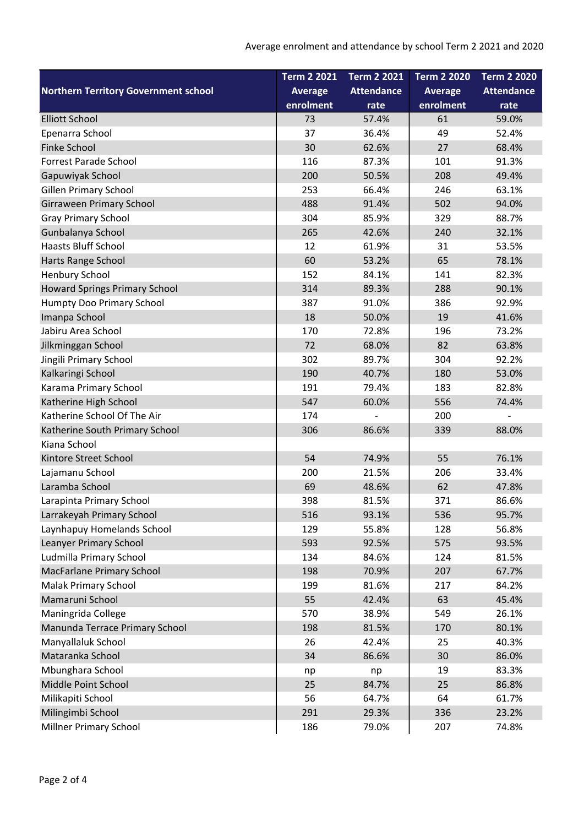|                                             | <b>Term 2 2021</b> | <b>Term 2 2021</b> | <b>Term 2 2020</b> | <b>Term 2 2020</b> |
|---------------------------------------------|--------------------|--------------------|--------------------|--------------------|
| <b>Northern Territory Government school</b> | <b>Average</b>     | <b>Attendance</b>  | <b>Average</b>     | <b>Attendance</b>  |
|                                             | enrolment          | rate               | enrolment          | rate               |
| <b>Elliott School</b>                       | 73                 | 57.4%              | 61                 | 59.0%              |
| Epenarra School                             | 37                 | 36.4%              | 49                 | 52.4%              |
| <b>Finke School</b>                         | 30                 | 62.6%              | 27                 | 68.4%              |
| <b>Forrest Parade School</b>                | 116                | 87.3%              | 101                | 91.3%              |
| Gapuwiyak School                            | 200                | 50.5%              | 208                | 49.4%              |
| <b>Gillen Primary School</b>                | 253                | 66.4%              | 246                | 63.1%              |
| <b>Girraween Primary School</b>             | 488                | 91.4%              | 502                | 94.0%              |
| <b>Gray Primary School</b>                  | 304                | 85.9%              | 329                | 88.7%              |
| Gunbalanya School                           | 265                | 42.6%              | 240                | 32.1%              |
| <b>Haasts Bluff School</b>                  | 12                 | 61.9%              | 31                 | 53.5%              |
| Harts Range School                          | 60                 | 53.2%              | 65                 | 78.1%              |
| Henbury School                              | 152                | 84.1%              | 141                | 82.3%              |
| <b>Howard Springs Primary School</b>        | 314                | 89.3%              | 288                | 90.1%              |
| Humpty Doo Primary School                   | 387                | 91.0%              | 386                | 92.9%              |
| Imanpa School                               | 18                 | 50.0%              | 19                 | 41.6%              |
| Jabiru Area School                          | 170                | 72.8%              | 196                | 73.2%              |
| Jilkminggan School                          | 72                 | 68.0%              | 82                 | 63.8%              |
| Jingili Primary School                      | 302                | 89.7%              | 304                | 92.2%              |
| Kalkaringi School                           | 190                | 40.7%              | 180                | 53.0%              |
| Karama Primary School                       | 191                | 79.4%              | 183                | 82.8%              |
| Katherine High School                       | 547                | 60.0%              | 556                | 74.4%              |
| Katherine School Of The Air                 | 174                |                    | 200                |                    |
| Katherine South Primary School              | 306                | 86.6%              | 339                | 88.0%              |
| Kiana School                                |                    |                    |                    |                    |
| Kintore Street School                       | 54                 | 74.9%              | 55                 | 76.1%              |
| Lajamanu School                             | 200                | 21.5%              | 206                | 33.4%              |
| Laramba School                              | 69                 | 48.6%              | 62                 | 47.8%              |
| Larapinta Primary School                    | 398                | 81.5%              | 371                | 86.6%              |
| Larrakeyah Primary School                   | 516                | 93.1%              | 536                | 95.7%              |
| Laynhapuy Homelands School                  | 129                | 55.8%              | 128                | 56.8%              |
| Leanyer Primary School                      | 593                | 92.5%              | 575                | 93.5%              |
| Ludmilla Primary School                     | 134                | 84.6%              | 124                | 81.5%              |
| <b>MacFarlane Primary School</b>            | 198                | 70.9%              | 207                | 67.7%              |
| <b>Malak Primary School</b>                 | 199                | 81.6%              | 217                | 84.2%              |
| Mamaruni School                             | 55                 | 42.4%              | 63                 | 45.4%              |
| Maningrida College                          | 570                | 38.9%              | 549                | 26.1%              |
| Manunda Terrace Primary School              | 198                | 81.5%              | 170                | 80.1%              |
| Manyallaluk School                          | 26                 | 42.4%              | 25                 | 40.3%              |
| Mataranka School                            | 34                 | 86.6%              | 30                 | 86.0%              |
| Mbunghara School                            | np                 | np                 | 19                 | 83.3%              |
| Middle Point School                         | 25                 | 84.7%              | 25                 | 86.8%              |
| Milikapiti School                           | 56                 | 64.7%              | 64                 | 61.7%              |
| Milingimbi School                           | 291                | 29.3%              | 336                | 23.2%              |
| <b>Millner Primary School</b>               | 186                | 79.0%              | 207                | 74.8%              |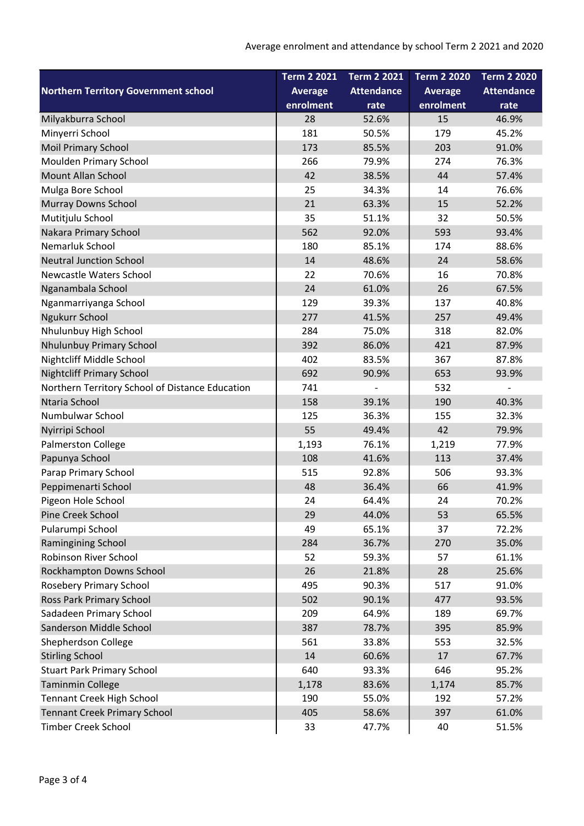|                                                 | <b>Term 2 2021</b> | <b>Term 2 2021</b> | <b>Term 2 2020</b> | <b>Term 2 2020</b> |
|-------------------------------------------------|--------------------|--------------------|--------------------|--------------------|
| <b>Northern Territory Government school</b>     | <b>Average</b>     | <b>Attendance</b>  | <b>Average</b>     | <b>Attendance</b>  |
|                                                 | enrolment          | rate               | enrolment          | rate               |
| Milyakburra School                              | 28                 | 52.6%              | 15                 | 46.9%              |
| Minyerri School                                 | 181                | 50.5%              | 179                | 45.2%              |
| <b>Moil Primary School</b>                      | 173                | 85.5%              | 203                | 91.0%              |
| Moulden Primary School                          | 266                | 79.9%              | 274                | 76.3%              |
| <b>Mount Allan School</b>                       | 42                 | 38.5%              | 44                 | 57.4%              |
| Mulga Bore School                               | 25                 | 34.3%              | 14                 | 76.6%              |
| <b>Murray Downs School</b>                      | 21                 | 63.3%              | 15                 | 52.2%              |
| Mutitjulu School                                | 35                 | 51.1%              | 32                 | 50.5%              |
| Nakara Primary School                           | 562                | 92.0%              | 593                | 93.4%              |
| Nemarluk School                                 | 180                | 85.1%              | 174                | 88.6%              |
| <b>Neutral Junction School</b>                  | 14                 | 48.6%              | 24                 | 58.6%              |
| Newcastle Waters School                         | 22                 | 70.6%              | 16                 | 70.8%              |
| Nganambala School                               | 24                 | 61.0%              | 26                 | 67.5%              |
| Nganmarriyanga School                           | 129                | 39.3%              | 137                | 40.8%              |
| Ngukurr School                                  | 277                | 41.5%              | 257                | 49.4%              |
| Nhulunbuy High School                           | 284                | 75.0%              | 318                | 82.0%              |
| Nhulunbuy Primary School                        | 392                | 86.0%              | 421                | 87.9%              |
| Nightcliff Middle School                        | 402                | 83.5%              | 367                | 87.8%              |
| <b>Nightcliff Primary School</b>                | 692                | 90.9%              | 653                | 93.9%              |
| Northern Territory School of Distance Education | 741                |                    | 532                |                    |
| Ntaria School                                   | 158                | 39.1%              | 190                | 40.3%              |
| Numbulwar School                                | 125                | 36.3%              | 155                | 32.3%              |
| Nyirripi School                                 | 55                 | 49.4%              | 42                 | 79.9%              |
| Palmerston College                              | 1,193              | 76.1%              | 1,219              | 77.9%              |
| Papunya School                                  | 108                | 41.6%              | 113                | 37.4%              |
| Parap Primary School                            | 515                | 92.8%              | 506                | 93.3%              |
| Peppimenarti School                             | 48                 | 36.4%              | 66                 | 41.9%              |
| Pigeon Hole School                              | 24                 | 64.4%              | 24                 | 70.2%              |
| Pine Creek School                               | 29                 | 44.0%              | 53                 | 65.5%              |
| Pularumpi School                                | 49                 | 65.1%              | 37                 | 72.2%              |
| Ramingining School                              | 284                | 36.7%              | 270                | 35.0%              |
| Robinson River School                           | 52                 | 59.3%              | 57                 | 61.1%              |
| Rockhampton Downs School                        | 26                 | 21.8%              | 28                 | 25.6%              |
| Rosebery Primary School                         | 495                | 90.3%              | 517                | 91.0%              |
| <b>Ross Park Primary School</b>                 | 502                | 90.1%              | 477                | 93.5%              |
| Sadadeen Primary School                         | 209                | 64.9%              | 189                | 69.7%              |
| Sanderson Middle School                         | 387                | 78.7%              | 395                | 85.9%              |
| Shepherdson College                             | 561                | 33.8%              | 553                | 32.5%              |
| <b>Stirling School</b>                          | 14                 | 60.6%              | 17                 | 67.7%              |
| <b>Stuart Park Primary School</b>               | 640                | 93.3%              | 646                | 95.2%              |
| <b>Taminmin College</b>                         | 1,178              | 83.6%              | 1,174              | 85.7%              |
| Tennant Creek High School                       | 190                | 55.0%              | 192                | 57.2%              |
| <b>Tennant Creek Primary School</b>             | 405                | 58.6%              | 397                | 61.0%              |
| Timber Creek School                             | 33                 | 47.7%              | 40                 | 51.5%              |